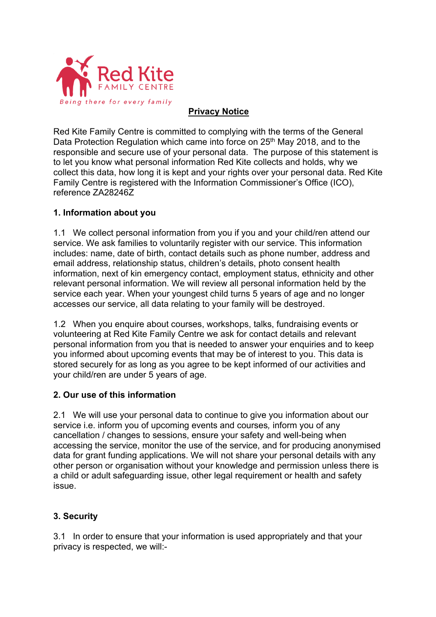

## **Privacy Notice**

Red Kite Family Centre is committed to complying with the terms of the General Data Protection Regulation which came into force on  $25<sup>th</sup>$  May 2018, and to the responsible and secure use of your personal data. The purpose of this statement is to let you know what personal information Red Kite collects and holds, why we collect this data, how long it is kept and your rights over your personal data. Red Kite Family Centre is registered with the Information Commissioner's Office (ICO), reference ZA28246Z

### **1. Information about you**

1.1 We collect personal information from you if you and your child/ren attend our service. We ask families to voluntarily register with our service. This information includes: name, date of birth, contact details such as phone number, address and email address, relationship status, children's details, photo consent health information, next of kin emergency contact, employment status, ethnicity and other relevant personal information. We will review all personal information held by the service each year. When your youngest child turns 5 years of age and no longer accesses our service, all data relating to your family will be destroyed.

1.2 When you enquire about courses, workshops, talks, fundraising events or volunteering at Red Kite Family Centre we ask for contact details and relevant personal information from you that is needed to answer your enquiries and to keep you informed about upcoming events that may be of interest to you. This data is stored securely for as long as you agree to be kept informed of our activities and your child/ren are under 5 years of age.

### **2. Our use of this information**

2.1 We will use your personal data to continue to give you information about our service i.e. inform you of upcoming events and courses*,* inform you of any cancellation / changes to sessions, ensure your safety and well-being when accessing the service, monitor the use of the service, and for producing anonymised data for grant funding applications. We will not share your personal details with any other person or organisation without your knowledge and permission unless there is a child or adult safeguarding issue, other legal requirement or health and safety issue.

# **3. Security**

3.1 In order to ensure that your information is used appropriately and that your privacy is respected, we will:-